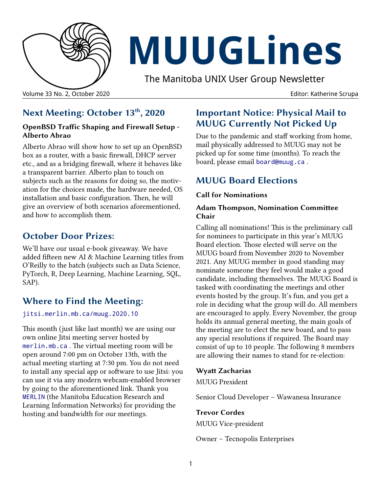

# **MUUGLines**

The Manitoba UNIX User Group Newsletter

Volume 33 No. 2, October 2020 Editor: Katherine Scrupa

# **Next Meeting: October 13th, 2020**

#### **OpenBSD Traffic Shaping and Firewall Setup - Alberto Abrao**

Alberto Abrao will show how to set up an OpenBSD box as a router, with a basic firewall, DHCP server etc., and as a bridging firewall, where it behaves like a transparent barrier. Alberto plan to touch on subjects such as the reasons for doing so, the motivation for the choices made, the hardware needed, OS installation and basic configuration. Then, he will give an overview of both scenarios aforementioned, and how to accomplish them.

## **October Door Prizes:**

We'll have our usual e-book giveaway. We have added fifteen new AI & Machine Learning titles from O'Reilly to the batch (subjects such as Data Science, PyTorch, R, Deep Learning, Machine Learning, SQL, SAP).

# **Where to Find the Meeting:**

#### [jitsi.merlin.mb.ca/muug.2020.10](https://jitsi.merlin.mb.ca/muug.2020.10)

This month (just like last month) we are using our own online Jitsi meeting server hosted by [merlin.mb.ca](http://merlin.mb.ca/) . The virtual meeting room will be open around 7:00 pm on October 13th, with the actual meeting starting at 7:30 pm. You do not need to install any special app or software to use Jitsi: you can use it via any modern webcam-enabled browser by going to the aforementioned link. Thank you [MERLIN](http://merlin.mb.ca/) (the Manitoba Education Research and Learning Information Networks) for providing the hosting and bandwidth for our meetings.

## **Important Notice: Physical Mail to MUUG Currently Not Picked Up**

Due to the pandemic and staff working from home, mail physically addressed to MUUG may not be picked up for some time (months). To reach the board, please email [board@muug.ca](mailto:board@muug.ca) .

# **MUUG Board Elections**

#### **Call for Nominations**

#### **Adam Thompson, Nomination Committee Chair**

Calling all nominations! This is the preliminary call for nominees to participate in this year's MUUG Board election. Those elected will serve on the MUUG board from November 2020 to November 2021. Any MUUG member in good standing may nominate someone they feel would make a good candidate, including themselves. The MUUG Board is tasked with coordinating the meetings and other events hosted by the group. It's fun, and you get a role in deciding what the group will do. All members are encouraged to apply. Every November, the group holds its annual general meeting, the main goals of the meeting are to elect the new board, and to pass any special resolutions if required. The Board may consist of up to 10 people. The following 8 members are allowing their names to stand for re-election:

#### **Wyatt Zacharias**

MUUG President

Senior Cloud Developer – Wawanesa Insurance

#### **Trevor Cordes**

MUUG Vice-president

Owner – Tecnopolis Enterprises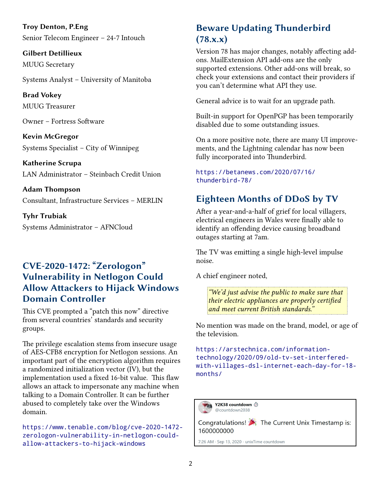**Troy Denton, P.Eng** Senior Telecom Engineer – 24-7 Intouch

**Gilbert Detillieux** MUUG Secretary

Systems Analyst – University of Manitoba

**Brad Vokey** MUUG Treasurer

Owner – Fortress Software

**Kevin McGregor** Systems Specialist – City of Winnipeg

**Katherine Scrupa** LAN Administrator – Steinbach Credit Union

**Adam Thompson** Consultant, Infrastructure Services – MERLIN

**Tyhr Trubiak** Systems Administrator – AFNCloud

## **CVE-2020-1472: "Zerologon" Vulnerability in Netlogon Could Allow Attackers to Hijack Windows Domain Controller**

This CVE prompted a "patch this now" directive from several countries' standards and security groups.

The privilege escalation stems from insecure usage of AES-CFB8 encryption for Netlogon sessions. An important part of the encryption algorithm requires a randomized initialization vector (IV), but the implementation used a fixed 16-bit value. This flaw allows an attack to impersonate any machine when talking to a Domain Controller. It can be further abused to completely take over the Windows domain.

[https://www.tenable.com/blog/cve-2020-1472](https://www.tenable.com/blog/cve-2020-1472-zerologon-vulnerability-in-netlogon-could-allow-attackers-to-hijack-windows) [zerologon-vulnerability-in-netlogon-could](https://www.tenable.com/blog/cve-2020-1472-zerologon-vulnerability-in-netlogon-could-allow-attackers-to-hijack-windows)[allow-attackers-to-hijack-windows](https://www.tenable.com/blog/cve-2020-1472-zerologon-vulnerability-in-netlogon-could-allow-attackers-to-hijack-windows)

# **Beware Updating Thunderbird (78.x.x)**

Version 78 has major changes, notably affecting addons. MailExtension API add-ons are the only supported extensions. Other add-ons will break, so check your extensions and contact their providers if you can't determine what API they use.

General advice is to wait for an upgrade path.

Built-in support for OpenPGP has been temporarily disabled due to some outstanding issues.

On a more positive note, there are many UI improvements, and the Lightning calendar has now been fully incorporated into Thunderbird.

#### [https://betanews.com/2020/07/16/](https://betanews.com/2020/07/16/thunderbird-78/) [thunderbird-78/](https://betanews.com/2020/07/16/thunderbird-78/)

# **Eighteen Months of DDoS by TV**

After a year-and-a-half of grief for local villagers, electrical engineers in Wales were finally able to identify an offending device causing broadband outages starting at 7am.

The TV was emitting a single high-level impulse noise.

A chief engineer noted,

*"We'd just advise the public to make sure that their electric appliances are properly certified and meet current British standards."* 

No mention was made on the brand, model, or age of the television.

[https://arstechnica.com/information](https://arstechnica.com/information-technology/2020/09/old-tv-set-interfered-with-villages-dsl-internet-each-day-for-18-months/)technology/2020/09/old-tv-set-interfered[with-villages-dsl-internet-each-day-for-18](https://arstechnica.com/information-technology/2020/09/old-tv-set-interfered-with-villages-dsl-internet-each-day-for-18-months/) [months/](https://arstechnica.com/information-technology/2020/09/old-tv-set-interfered-with-villages-dsl-internet-each-day-for-18-months/)

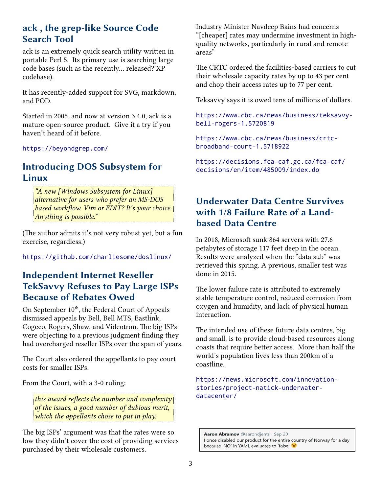## **ack , the grep-like Source Code Search Tool**

ack is an extremely quick search utility written in portable Perl 5. Its primary use is searching large code bases (such as the recently... released? XP codebase).

It has recently-added support for SVG, markdown, and POD.

Started in 2005, and now at version 3.4.0, ack is a mature open-source product. Give it a try if you haven't heard of it before.

<https://beyondgrep.com/>

## **Introducing DOS Subsystem for Linux**

*"A new [Windows Subsystem for Linux] alternative for users who prefer an MS-DOS based workflow. Vim or EDIT? It's your choice. Anything is possible."* 

(The author admits it's not very robust yet, but a fun exercise, regardless.)

<https://github.com/charliesome/doslinux/>

## **Independent Internet Reseller TekSavvy Refuses to Pay Large ISPs Because of Rebates Owed**

On September  $10^{th}$ , the Federal Court of Appeals dismissed appeals by Bell, Bell MTS, Eastlink, Cogeco, Rogers, Shaw, and Videotron. The big ISPs were objecting to a previous judgment finding they had overcharged reseller ISPs over the span of years.

The Court also ordered the appellants to pay court costs for smaller ISPs.

From the Court, with a 3-0 ruling:

*this award reflects the number and complexity of the issues, a good number of dubious merit, which the appellants chose to put in play.*

The big ISPs' argument was that the rates were so low they didn't cover the cost of providing services purchased by their wholesale customers.

Industry Minister Navdeep Bains had concerns "[cheaper] rates may undermine investment in highquality networks, particularly in rural and remote areas"

The CRTC ordered the facilities-based carriers to cut their wholesale capacity rates by up to 43 per cent and chop their access rates up to 77 per cent.

Teksavvy says it is owed tens of millions of dollars.

[https://www.cbc.ca/news/business/teksavvy](https://www.cbc.ca/news/business/teksavvy-bell-rogers-1.5720819)[bell-rogers-1.5720819](https://www.cbc.ca/news/business/teksavvy-bell-rogers-1.5720819)

[https://www.cbc.ca/news/business/crtc](https://www.cbc.ca/news/business/crtc-broadband-court-1.5718922)[broadband-court-1.5718922](https://www.cbc.ca/news/business/crtc-broadband-court-1.5718922)

[https://decisions.fca-caf.gc.ca/fca-caf/](https://decisions.fca-caf.gc.ca/fca-caf/decisions/en/item/485009/index.do) [decisions/en/item/485009/index.do](https://decisions.fca-caf.gc.ca/fca-caf/decisions/en/item/485009/index.do)

## **Underwater Data Centre Survives with 1/8 Failure Rate of a Landbased Data Centre**

In 2018, Microsoft sunk 864 servers with 27.6 petabytes of storage 117 feet deep in the ocean. Results were analyzed when the "data sub" was retrieved this spring. A previous, smaller test was done in 2015.

The lower failure rate is attributed to extremely stable temperature control, reduced corrosion from oxygen and humidity, and lack of physical human interaction.

The intended use of these future data centres, big and small, is to provide cloud-based resources along coasts that require better access. More than half the world's population lives less than 200km of a coastline.

[https://news.microsoft.com/innovation](https://news.microsoft.com/innovation-stories/project-natick-underwater-datacenter/)[stories/project-natick-underwater](https://news.microsoft.com/innovation-stories/project-natick-underwater-datacenter/)[datacenter/](https://news.microsoft.com/innovation-stories/project-natick-underwater-datacenter/)

Aaron Abramov @aarondjents · Sep 20 I once disabled our product for the entire country of Norway for a day because `NO` in YAML evaluates to `false`